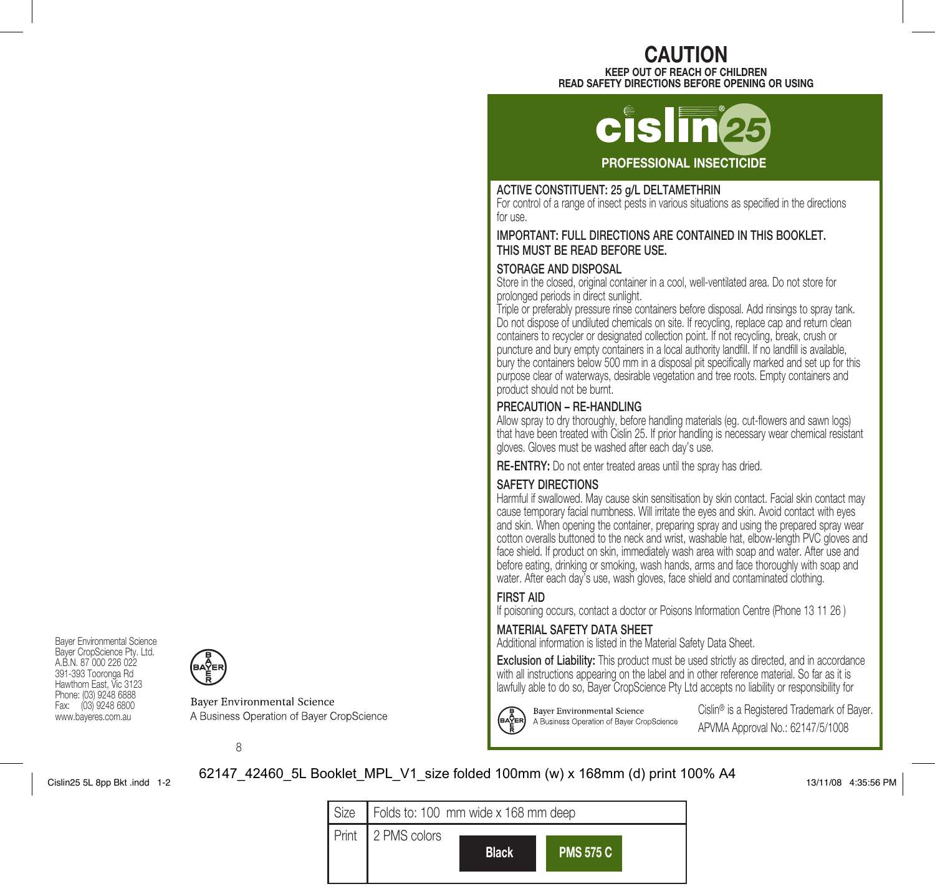# CAUTION

KEEP OUT OF REACH OF CHILDREN READ SAFETY DIRECTIONS BEFORE OPENING OR USING

# PROFESSIONAL INSECTICIDE

# ACTIVE CONSTITUENT: 25 g/L DELTAMETHRIN

For control of a range of insect pests in various situations as specified in the directions for use.

# IMPORTANT: FULL DIRECTIONS ARE CONTAINED IN THIS BOOKLET. THIS MUST BE READ BEFORE USE.

# STORAGE AND DISPOSAL

Store in the closed, original container in a cool, well-ventilated area. Do not store for prolonged periods in direct sunlight.

Triple or preferably pressure rinse containers before disposal. Add rinsings to spray tank. Do not dispose of undiluted chemicals on site. If recycling, replace cap and return clean containers to recycler or designated collection point. If not recycling, break, crush or puncture and bury empty containers in a local authority landfill. If no landfill is available, bury the containers below 500 mm in a disposal pit specifically marked and set up for this purpose clear of waterways, desirable vegetation and tree roots. Empty containers and product should not be burnt.

# PRECAUTION – RE-HANDLING

Allow spray to dry thoroughly, before handling materials (eg. cut-flowers and sawn logs) that have been treated with Cislin 25. If prior handling is necessary wear chemical resistant gloves. Gloves must be washed after each day's use.

RE-ENTRY: Do not enter treated areas until the spray has dried.

# SAFETY DIRECTIONS

Harmful if swallowed. May cause skin sensitisation by skin contact. Facial skin contact may cause temporary facial numbness. Will irritate the eyes and skin. Avoid contact with eyes and skin. When opening the container, preparing spray and using the prepared spray wear cotton overalls buttoned to the neck and wrist, washable hat, elbow-length PVC gloves and face shield. If product on skin, immediately wash area with soap and water. After use and before eating, drinking or smoking, wash hands, arms and face thoroughly with soap and water. After each day's use, wash gloves, face shield and contaminated clothing.

# FIRST AID

If poisoning occurs, contact a doctor or Poisons Information Centre (Phone 13 11 26 )

# MATERIAL SAFETY DATA SHEET

**Bayer Environmental Science** 

A Business Operation of Baver CropScience

Additional information is listed in the Material Safety Data Sheet.

Exclusion of Liability: This product must be used strictly as directed, and in accordance with all instructions appearing on the label and in other reference material. So far as it is lawfully able to do so, Bayer CropScience Pty Ltd accepts no liability or responsibility for



Cislin® is a Registered Trademark of Bayer. APVMA Approval No.: 62147/5/1008

# 8

**Bayer Environmental Science** 

A Business Operation of Bayer CropScience

# Cislin25 5L 8pp Bkt .indd 1-2 13/11/08 4:35:56 PM 62147\_42460\_5L Booklet\_MPL\_V1\_size folded 100mm (w) x 168mm (d) print 100% A4

Bayer Environmental Science Bayer CropScience Pty. Ltd. A.B.N. 87 000 226 022 391-393 Tooronga Rd Hawthorn East, Vic 3123 Phone: (03) 9248 6888 Fax: (03) 9248 6800 www.bayeres.com.au

| Size   Folds to: 100 mm wide x 168 mm deep |              |                  |  |  |
|--------------------------------------------|--------------|------------------|--|--|
| Print 2 PMS colors                         | <b>Black</b> | <b>PMS 575 C</b> |  |  |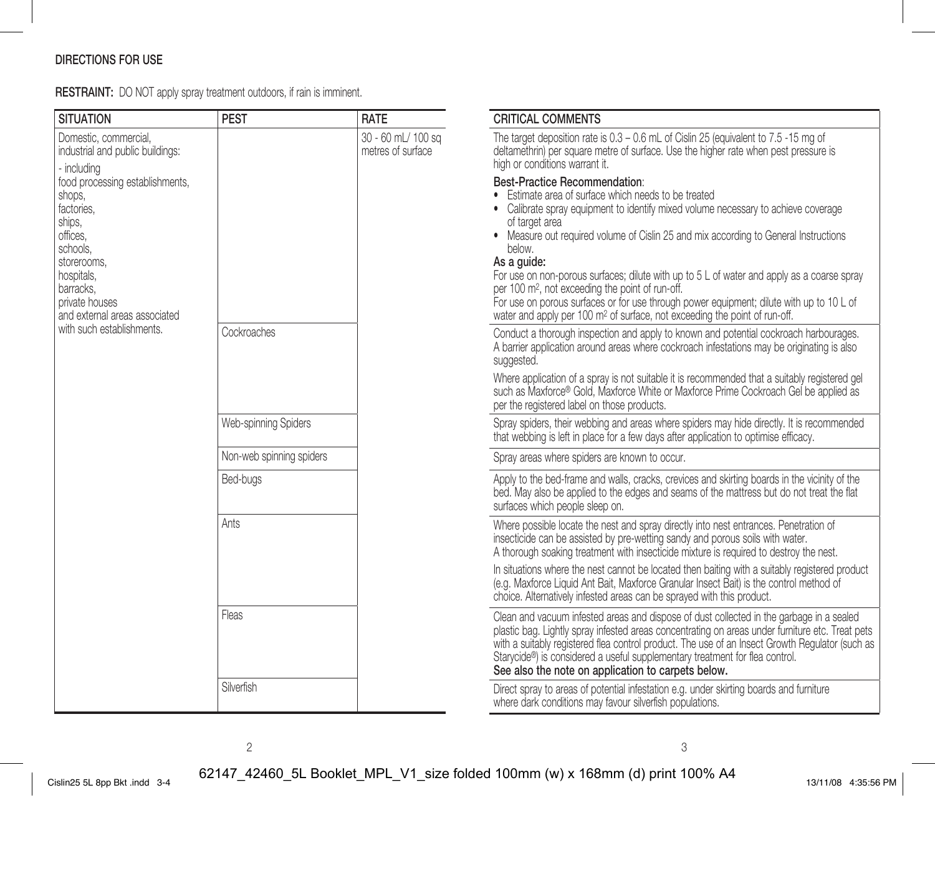# DIRECTIONS FOR USE

RESTRAINT: DO NOT apply spray treatment outdoors, if rain is imminent.

| <b>SITUATION</b>                                                                                                                                                                       | <b>PEST</b>              | RATE                                    | <b>CRITICAL COMMENTS</b>                                                                                                                                                                                                                                                                                                                                                                                                                                                                                                                                                                                                                                                          |
|----------------------------------------------------------------------------------------------------------------------------------------------------------------------------------------|--------------------------|-----------------------------------------|-----------------------------------------------------------------------------------------------------------------------------------------------------------------------------------------------------------------------------------------------------------------------------------------------------------------------------------------------------------------------------------------------------------------------------------------------------------------------------------------------------------------------------------------------------------------------------------------------------------------------------------------------------------------------------------|
| Domestic, commercial,<br>industrial and public buildings:<br>- includina                                                                                                               |                          | 30 - 60 mL/ 100 sq<br>metres of surface | The target deposition rate is 0.3 - 0.6 mL of Cislin 25 (equivalent to 7.5 -15 mg of<br>deltamethrin) per square metre of surface. Use the higher rate when pest pressure is<br>high or conditions warrant it.                                                                                                                                                                                                                                                                                                                                                                                                                                                                    |
| food processing establishments,<br>shops,<br>factories.<br>ships,<br>offices.<br>schools.<br>storerooms.<br>hospitals,<br>barracks.<br>private houses<br>and external areas associated |                          |                                         | Best-Practice Recommendation:<br>Estimate area of surface which needs to be treated<br>• Calibrate spray equipment to identify mixed volume necessary to achieve coverage<br>of target area<br>• Measure out required volume of Cislin 25 and mix according to General Instructions<br>below.<br>As a quide:<br>For use on non-porous surfaces; dilute with up to $5 \, L$ of water and apply as a coarse spray<br>per 100 m <sup>2</sup> , not exceeding the point of run-off.<br>For use on porous surfaces or for use through power equipment; dilute with up to $10 \, \text{L}$ of<br>water and apply per 100 m <sup>2</sup> of surface, not exceeding the point of run-off. |
| with such establishments.                                                                                                                                                              | Cockroaches              |                                         | Conduct a thorough inspection and apply to known and potential cockroach harbourages.<br>A barrier application around areas where cockroach infestations may be originating is also<br>suggested.                                                                                                                                                                                                                                                                                                                                                                                                                                                                                 |
|                                                                                                                                                                                        |                          |                                         | Where application of a spray is not suitable it is recommended that a suitably registered gel<br>such as Maxforce® Gold, Maxforce White or Maxforce Prime Cockroach Gel be applied as<br>per the registered label on those products.                                                                                                                                                                                                                                                                                                                                                                                                                                              |
|                                                                                                                                                                                        | Web-spinning Spiders     |                                         | Spray spiders, their webbing and areas where spiders may hide directly. It is recommended<br>that webbing is left in place for a few days after application to optimise efficacy.                                                                                                                                                                                                                                                                                                                                                                                                                                                                                                 |
|                                                                                                                                                                                        | Non-web spinning spiders |                                         | Sorav areas where spiders are known to occur.                                                                                                                                                                                                                                                                                                                                                                                                                                                                                                                                                                                                                                     |
|                                                                                                                                                                                        | Bed-bugs                 |                                         | Apply to the bed-frame and walls, cracks, crevices and skirting boards in the vicinity of the<br>bed. May also be applied to the edges and seams of the mattress but do not treat the flat<br>surfaces which people sleep on.                                                                                                                                                                                                                                                                                                                                                                                                                                                     |
|                                                                                                                                                                                        | Ants                     |                                         | Where possible locate the nest and spray directly into nest entrances. Penetration of<br>insecticide can be assisted by pre-wetting sandy and porous soils with water.<br>A thorough soaking treatment with insecticide mixture is required to destroy the nest.                                                                                                                                                                                                                                                                                                                                                                                                                  |
|                                                                                                                                                                                        |                          |                                         | In situations where the nest cannot be located then baiting with a suitably registered product<br>(e.g. Maxforce Liquid Ant Bait, Maxforce Granular Insect Bait) is the control method of<br>choice. Alternatively infested areas can be sprayed with this product.                                                                                                                                                                                                                                                                                                                                                                                                               |
|                                                                                                                                                                                        | Fleas                    |                                         | Clean and vacuum infested areas and dispose of dust collected in the garbage in a sealed<br>plastic bag. Lightly spray infested areas concentrating on areas under furniture etc. Treat pets<br>with a suitably registered flea control product. The use of an Insect Growth Regulator (such as<br>Starycide®) is considered a useful supplementary treatment for flea control.<br>See also the note on application to carpets below.                                                                                                                                                                                                                                             |
|                                                                                                                                                                                        | Silverfish               |                                         | Direct spray to areas of potential infestation e.g. under skirting boards and furniture<br>where dark conditions may favour silverfish populations.                                                                                                                                                                                                                                                                                                                                                                                                                                                                                                                               |

2  $\sim$  3

Cislin25 5L 8pp Bkt .indd 3-4 13/11/08 4:35:56 PM 62147\_42460\_5L Booklet\_MPL\_V1\_size folded 100mm (w) x 168mm (d) print 100% A4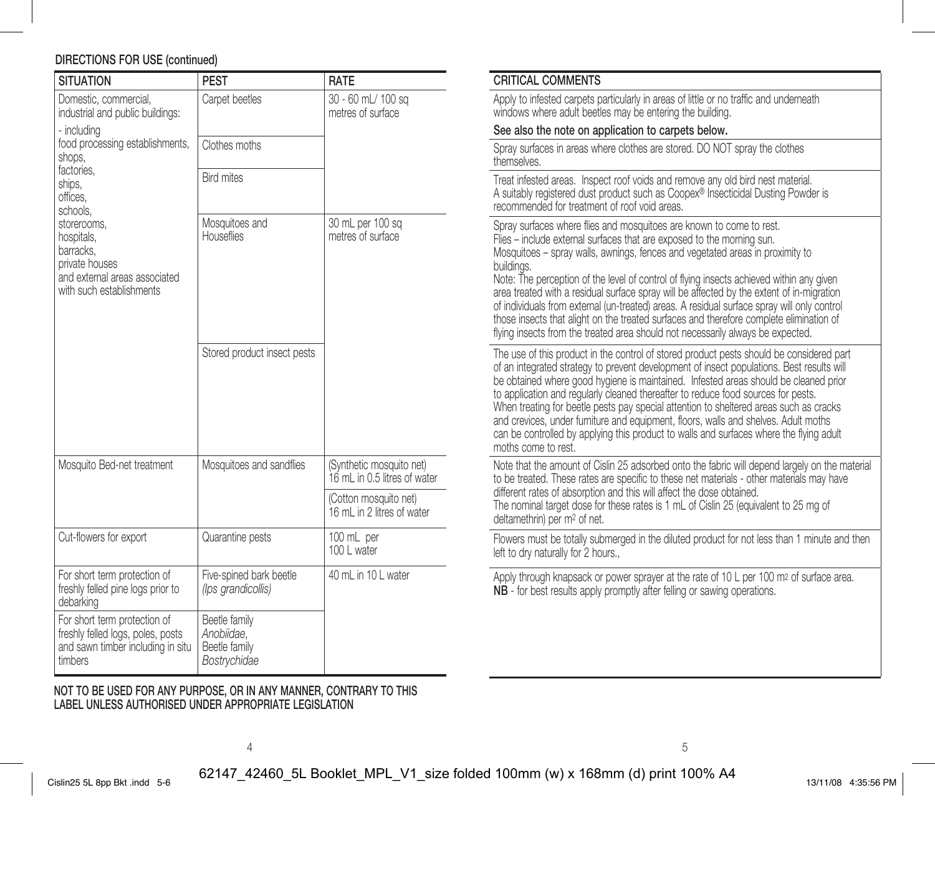# DIRECTIONS FOR USE (continued)

| <b>SITUATION</b>                                                                                                      | <b>PEST</b>                                                  | <b>RATE</b>                                              |  |
|-----------------------------------------------------------------------------------------------------------------------|--------------------------------------------------------------|----------------------------------------------------------|--|
| Domestic, commercial,<br>industrial and public buildings:<br>- including                                              | Carpet beetles                                               | 30 - 60 mL/ 100 sq<br>metres of surface                  |  |
| food processing establishments,<br>shops.                                                                             | Clothes moths                                                |                                                          |  |
| factories.<br>ships,<br>offices,<br>schools,                                                                          | <b>Bird mites</b>                                            |                                                          |  |
| storerooms,<br>hospitals,<br>barracks,<br>private houses<br>and external areas associated<br>with such establishments | Mosquitoes and<br>Houseflies                                 | 30 mL per 100 sq<br>metres of surface                    |  |
|                                                                                                                       | Stored product insect pests                                  |                                                          |  |
| Mosquito Bed-net treatment                                                                                            | Mosquitoes and sandflies                                     | (Synthetic mosquito net)<br>16 mL in 0.5 litres of water |  |
|                                                                                                                       |                                                              | (Cotton mosquito net)<br>16 mL in 2 litres of water      |  |
| Cut-flowers for export                                                                                                | Quarantine pests                                             | 100 mL per<br>100 L water                                |  |
| For short term protection of<br>freshly felled pine logs prior to<br>debarking                                        | Five-spined bark beetle<br>(lps grandicollis)                | 40 mL in 10 L water                                      |  |
| For short term protection of<br>freshly felled logs, poles, posts<br>and sawn timber including in situ<br>timbers     | Beetle family<br>Anobiidae.<br>Beetle family<br>Bostrychidae |                                                          |  |

NOT TO BE USED FOR ANY PURPOSE, OR IN ANY MANNER, CONTRARY TO THIS LABEL UNLESS AUTHORISED UNDER APPROPRIATE LEGISLATION

| ۰. |
|----|
|----|

Cislin25 5L 8pp Bkt .indd 5-6 62147\_42460\_5L Booklet\_MPL\_V1\_size folded 100mm (w) x 168mm (d) print 100% A4 13/11/08 4:35:56 PM

| <b>CRITICAL COMMENTS</b>                                                                                                                                                                                                                                                                                                                                                                                                                                                                                                                                                                                                                                                                                            |
|---------------------------------------------------------------------------------------------------------------------------------------------------------------------------------------------------------------------------------------------------------------------------------------------------------------------------------------------------------------------------------------------------------------------------------------------------------------------------------------------------------------------------------------------------------------------------------------------------------------------------------------------------------------------------------------------------------------------|
| Apply to infested carpets particularly in areas of little or no traffic and underneath<br>windows where adult beetles may be entering the building.                                                                                                                                                                                                                                                                                                                                                                                                                                                                                                                                                                 |
| See also the note on application to carpets below.                                                                                                                                                                                                                                                                                                                                                                                                                                                                                                                                                                                                                                                                  |
| Spray surfaces in areas where clothes are stored. DO NOT spray the clothes<br>themselves.                                                                                                                                                                                                                                                                                                                                                                                                                                                                                                                                                                                                                           |
| Treat infested areas. Inspect roof voids and remove any old bird nest material.<br>A suitably registered dust product such as Coopex® Insecticidal Dusting Powder is<br>recommended for treatment of roof void areas.                                                                                                                                                                                                                                                                                                                                                                                                                                                                                               |
| Spray surfaces where flies and mosquitoes are known to come to rest.<br>Flies – include external surfaces that are exposed to the morning sun.<br>Mosquitoes - spray walls, awnings, fences and vegetated areas in proximity to<br>buildings.<br>Note: The perception of the level of control of flying insects achieved within any given<br>area treated with a residual surface spray will be affected by the extent of in-migration<br>of individuals from external (un-treated) areas. A residual surface spray will only control<br>those insects that alight on the treated surfaces and therefore complete elimination of<br>flying insects from the treated area should not necessarily always be expected. |
| The use of this product in the control of stored product pests should be considered part<br>of an integrated strategy to prevent development of insect populations. Best results will<br>be obtained where good hygiene is maintained. Infested areas should be cleaned prior<br>to application and regularly cleaned thereafter to reduce food sources for pests.<br>When treating for beetle pests pay special attention to sheltered areas such as cracks<br>and crevices, under furniture and equipment, floors, walls and shelves. Adult moths<br>can be controlled by applying this product to walls and surfaces where the flying adult<br>moths come to rest.                                               |
| Note that the amount of Cislin 25 adsorbed onto the fabric will depend largely on the material<br>to be treated. These rates are specific to these net materials - other materials may have<br>different rates of absorption and this will affect the dose obtained.<br>The nominal target dose for these rates is 1 mL of Cislin 25 (equivalent to 25 mg of<br>deltamethrin) per m <sup>2</sup> of net.                                                                                                                                                                                                                                                                                                            |
| Flowers must be totally submerged in the diluted product for not less than 1 minute and then<br>left to dry naturally for 2 hours                                                                                                                                                                                                                                                                                                                                                                                                                                                                                                                                                                                   |

Apply through knapsack or power sprayer at the rate of 10 L per 100 m<sup>2</sup> of surface area. NB - for best results apply promptly after felling or sawing operations.

 $4 \overline{5}$